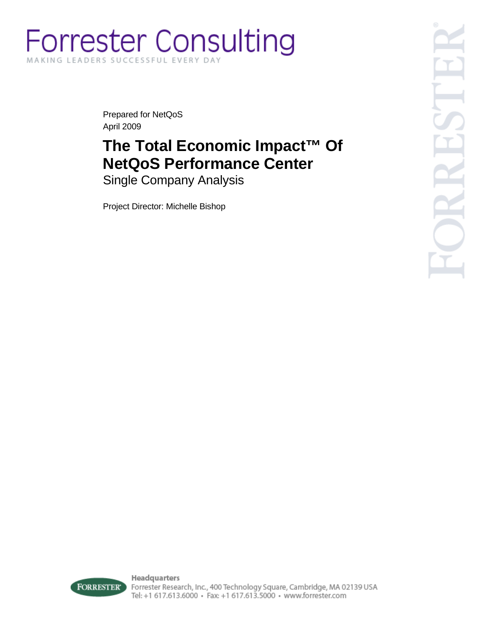# **Forrester Consulting** MAKING LEADERS SUCCESSFUL EVERY DAY

Prepared for NetQoS April 2009

# **The Total Economic Impact™ Of NetQoS Performance Center**

Single Company Analysis

Project Director: Michelle Bishop



Headquarters Forrester Research, Inc., 400 Technology Square, Cambridge, MA 02139 USA Tel: +1 617.613.6000 · Fax: +1 617.613.5000 · www.forrester.com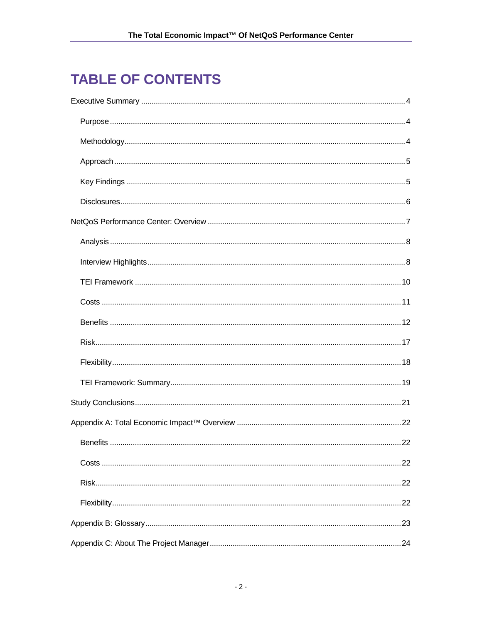# **TABLE OF CONTENTS**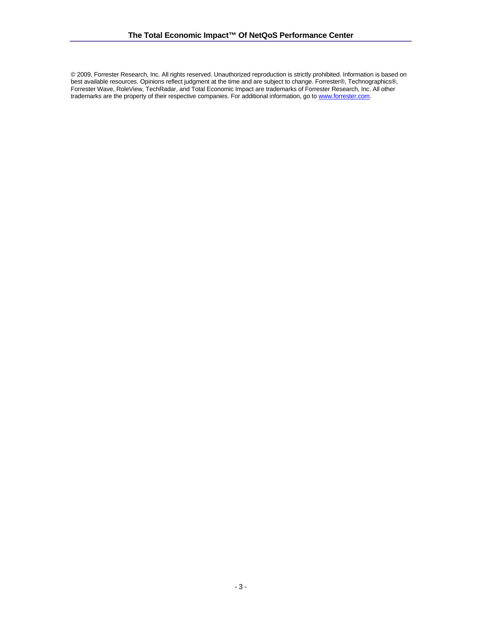© 2009, Forrester Research, Inc. All rights reserved. Unauthorized reproduction is strictly prohibited. Information is based on best available resources. Opinions reflect judgment at the time and are subject to change. Forrester®, Technographics®, Forrester Wave, RoleView, TechRadar, and Total Economic Impact are trademarks of Forrester Research, Inc. All other trademarks are the property of their respective companies. For additional information, go to www.forrester.com.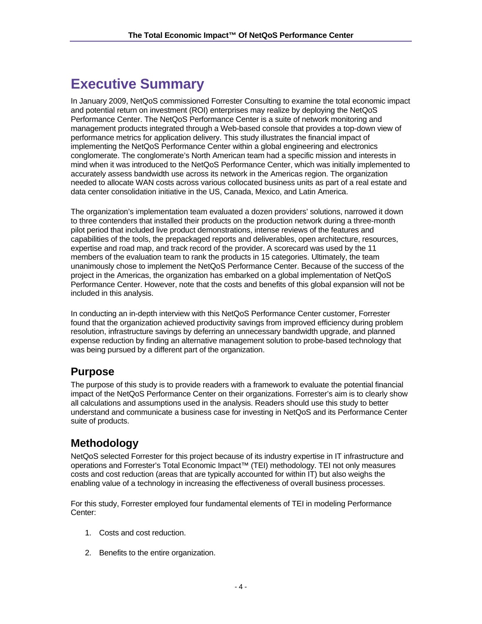# **Executive Summary**

In January 2009, NetQoS commissioned Forrester Consulting to examine the total economic impact and potential return on investment (ROI) enterprises may realize by deploying the NetQoS Performance Center. The NetQoS Performance Center is a suite of network monitoring and management products integrated through a Web-based console that provides a top-down view of performance metrics for application delivery. This study illustrates the financial impact of implementing the NetQoS Performance Center within a global engineering and electronics conglomerate. The conglomerate's North American team had a specific mission and interests in mind when it was introduced to the NetQoS Performance Center, which was initially implemented to accurately assess bandwidth use across its network in the Americas region. The organization needed to allocate WAN costs across various collocated business units as part of a real estate and data center consolidation initiative in the US, Canada, Mexico, and Latin America.

The organization's implementation team evaluated a dozen providers' solutions, narrowed it down to three contenders that installed their products on the production network during a three-month pilot period that included live product demonstrations, intense reviews of the features and capabilities of the tools, the prepackaged reports and deliverables, open architecture, resources, expertise and road map, and track record of the provider. A scorecard was used by the 11 members of the evaluation team to rank the products in 15 categories. Ultimately, the team unanimously chose to implement the NetQoS Performance Center. Because of the success of the project in the Americas, the organization has embarked on a global implementation of NetQoS Performance Center. However, note that the costs and benefits of this global expansion will not be included in this analysis.

In conducting an in-depth interview with this NetQoS Performance Center customer, Forrester found that the organization achieved productivity savings from improved efficiency during problem resolution, infrastructure savings by deferring an unnecessary bandwidth upgrade, and planned expense reduction by finding an alternative management solution to probe-based technology that was being pursued by a different part of the organization.

## **Purpose**

The purpose of this study is to provide readers with a framework to evaluate the potential financial impact of the NetQoS Performance Center on their organizations. Forrester's aim is to clearly show all calculations and assumptions used in the analysis. Readers should use this study to better understand and communicate a business case for investing in NetQoS and its Performance Center suite of products.

# **Methodology**

NetQoS selected Forrester for this project because of its industry expertise in IT infrastructure and operations and Forrester's Total Economic Impact™ (TEI) methodology. TEI not only measures costs and cost reduction (areas that are typically accounted for within IT) but also weighs the enabling value of a technology in increasing the effectiveness of overall business processes.

For this study, Forrester employed four fundamental elements of TEI in modeling Performance Center:

- 1. Costs and cost reduction.
- 2. Benefits to the entire organization.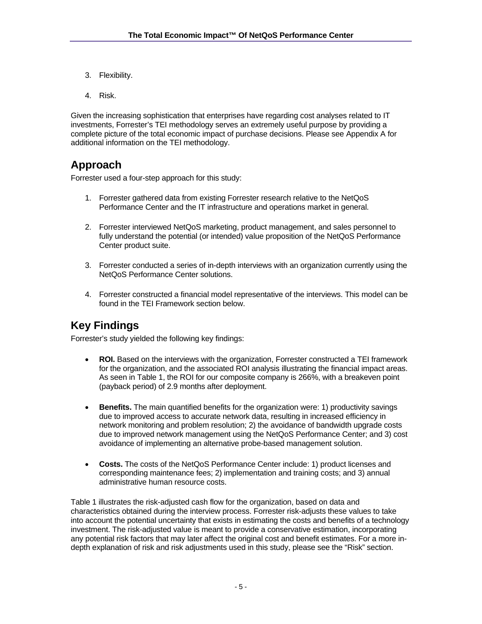- 3. Flexibility.
- 4. Risk.

Given the increasing sophistication that enterprises have regarding cost analyses related to IT investments, Forrester's TEI methodology serves an extremely useful purpose by providing a complete picture of the total economic impact of purchase decisions. Please see Appendix A for additional information on the TEI methodology.

## **Approach**

Forrester used a four-step approach for this study:

- 1. Forrester gathered data from existing Forrester research relative to the NetQoS Performance Center and the IT infrastructure and operations market in general.
- 2. Forrester interviewed NetQoS marketing, product management, and sales personnel to fully understand the potential (or intended) value proposition of the NetQoS Performance Center product suite.
- 3. Forrester conducted a series of in-depth interviews with an organization currently using the NetQoS Performance Center solutions.
- 4. Forrester constructed a financial model representative of the interviews. This model can be found in the TEI Framework section below.

# **Key Findings**

Forrester's study yielded the following key findings:

- **ROI.** Based on the interviews with the organization, Forrester constructed a TEI framework for the organization, and the associated ROI analysis illustrating the financial impact areas. As seen in Table 1, the ROI for our composite company is 266%, with a breakeven point (payback period) of 2.9 months after deployment.
- **Benefits.** The main quantified benefits for the organization were: 1) productivity savings due to improved access to accurate network data, resulting in increased efficiency in network monitoring and problem resolution; 2) the avoidance of bandwidth upgrade costs due to improved network management using the NetQoS Performance Center; and 3) cost avoidance of implementing an alternative probe-based management solution.
- **Costs.** The costs of the NetQoS Performance Center include: 1) product licenses and corresponding maintenance fees; 2) implementation and training costs; and 3) annual administrative human resource costs.

Table 1 illustrates the risk-adjusted cash flow for the organization, based on data and characteristics obtained during the interview process. Forrester risk-adjusts these values to take into account the potential uncertainty that exists in estimating the costs and benefits of a technology investment. The risk-adjusted value is meant to provide a conservative estimation, incorporating any potential risk factors that may later affect the original cost and benefit estimates. For a more indepth explanation of risk and risk adjustments used in this study, please see the "Risk" section.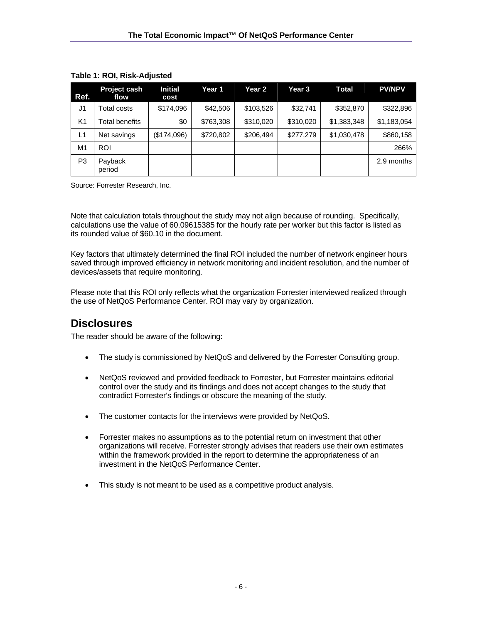| Ref.           | <b>Project cash</b><br>flow | Initial<br>cost | Year 1    | Year 2    | Year 3    | Total       | <b>PV/NPV</b> |
|----------------|-----------------------------|-----------------|-----------|-----------|-----------|-------------|---------------|
| J <sub>1</sub> | Total costs                 | \$174,096       | \$42,506  | \$103,526 | \$32,741  | \$352,870   | \$322,896     |
| K <sub>1</sub> | Total benefits              | \$0             | \$763,308 | \$310,020 | \$310,020 | \$1,383,348 | \$1,183,054   |
| L1             | Net savings                 | (\$174,096)     | \$720,802 | \$206.494 | \$277,279 | \$1,030,478 | \$860,158     |
| M1             | <b>ROI</b>                  |                 |           |           |           |             | 266%          |
| P <sub>3</sub> | Payback<br>period           |                 |           |           |           |             | 2.9 months    |

#### **Table 1: ROI, Risk-Adjusted**

Source: Forrester Research, Inc.

Note that calculation totals throughout the study may not align because of rounding. Specifically, calculations use the value of 60.09615385 for the hourly rate per worker but this factor is listed as its rounded value of \$60.10 in the document.

Key factors that ultimately determined the final ROI included the number of network engineer hours saved through improved efficiency in network monitoring and incident resolution, and the number of devices/assets that require monitoring.

Please note that this ROI only reflects what the organization Forrester interviewed realized through the use of NetQoS Performance Center. ROI may vary by organization.

## **Disclosures**

The reader should be aware of the following:

- The study is commissioned by NetQoS and delivered by the Forrester Consulting group.
- NetQoS reviewed and provided feedback to Forrester, but Forrester maintains editorial control over the study and its findings and does not accept changes to the study that contradict Forrester's findings or obscure the meaning of the study.
- The customer contacts for the interviews were provided by NetQoS.
- Forrester makes no assumptions as to the potential return on investment that other organizations will receive. Forrester strongly advises that readers use their own estimates within the framework provided in the report to determine the appropriateness of an investment in the NetQoS Performance Center.
- This study is not meant to be used as a competitive product analysis.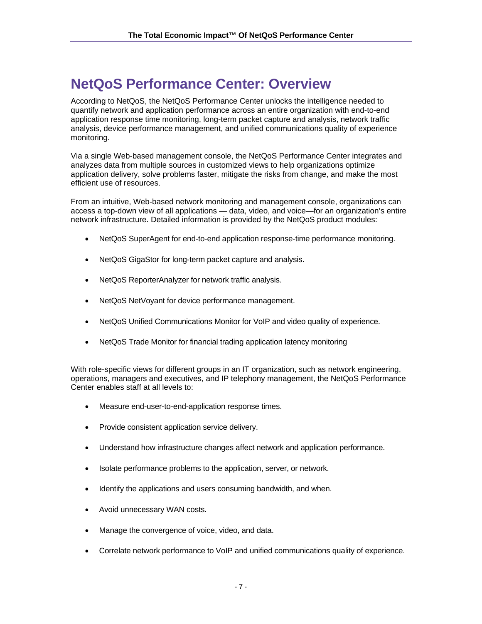# **NetQoS Performance Center: Overview**

According to NetQoS, the NetQoS Performance Center unlocks the intelligence needed to quantify network and application performance across an entire organization with end-to-end application response time monitoring, long-term packet capture and analysis, network traffic analysis, device performance management, and unified communications quality of experience monitoring.

Via a single Web-based management console, the NetQoS Performance Center integrates and analyzes data from multiple sources in customized views to help organizations optimize application delivery, solve problems faster, mitigate the risks from change, and make the most efficient use of resources.

From an intuitive, Web-based network monitoring and management console, organizations can access a top-down view of all applications — data, video, and voice—for an organization's entire network infrastructure. Detailed information is provided by the NetQoS product modules:

- NetQoS SuperAgent for end-to-end application response-time performance monitoring.
- NetQoS GigaStor for long-term packet capture and analysis.
- NetQoS ReporterAnalyzer for network traffic analysis.
- NetQoS NetVoyant for device performance management.
- NetQoS Unified Communications Monitor for VoIP and video quality of experience.
- NetQoS Trade Monitor for financial trading application latency monitoring

With role-specific views for different groups in an IT organization, such as network engineering, operations, managers and executives, and IP telephony management, the NetQoS Performance Center enables staff at all levels to:

- Measure end-user-to-end-application response times.
- Provide consistent application service delivery.
- Understand how infrastructure changes affect network and application performance.
- Isolate performance problems to the application, server, or network.
- Identify the applications and users consuming bandwidth, and when.
- Avoid unnecessary WAN costs.
- Manage the convergence of voice, video, and data.
- Correlate network performance to VoIP and unified communications quality of experience.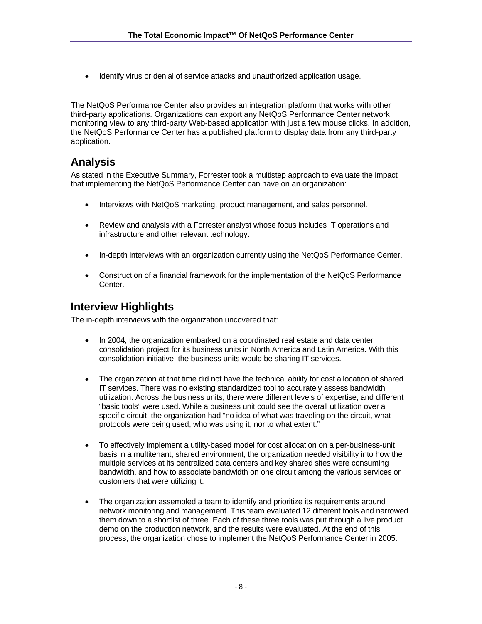• Identify virus or denial of service attacks and unauthorized application usage.

The NetQoS Performance Center also provides an integration platform that works with other third-party applications. Organizations can export any NetQoS Performance Center network monitoring view to any third-party Web-based application with just a few mouse clicks. In addition, the NetQoS Performance Center has a published platform to display data from any third-party application.

## **Analysis**

As stated in the Executive Summary, Forrester took a multistep approach to evaluate the impact that implementing the NetQoS Performance Center can have on an organization:

- Interviews with NetQoS marketing, product management, and sales personnel.
- Review and analysis with a Forrester analyst whose focus includes IT operations and infrastructure and other relevant technology.
- In-depth interviews with an organization currently using the NetQoS Performance Center.
- Construction of a financial framework for the implementation of the NetQoS Performance Center.

## **Interview Highlights**

The in-depth interviews with the organization uncovered that:

- In 2004, the organization embarked on a coordinated real estate and data center consolidation project for its business units in North America and Latin America. With this consolidation initiative, the business units would be sharing IT services.
- The organization at that time did not have the technical ability for cost allocation of shared IT services. There was no existing standardized tool to accurately assess bandwidth utilization. Across the business units, there were different levels of expertise, and different "basic tools" were used. While a business unit could see the overall utilization over a specific circuit, the organization had "no idea of what was traveling on the circuit, what protocols were being used, who was using it, nor to what extent."
- To effectively implement a utility-based model for cost allocation on a per-business-unit basis in a multitenant, shared environment, the organization needed visibility into how the multiple services at its centralized data centers and key shared sites were consuming bandwidth, and how to associate bandwidth on one circuit among the various services or customers that were utilizing it.
- The organization assembled a team to identify and prioritize its requirements around network monitoring and management. This team evaluated 12 different tools and narrowed them down to a shortlist of three. Each of these three tools was put through a live product demo on the production network, and the results were evaluated. At the end of this process, the organization chose to implement the NetQoS Performance Center in 2005.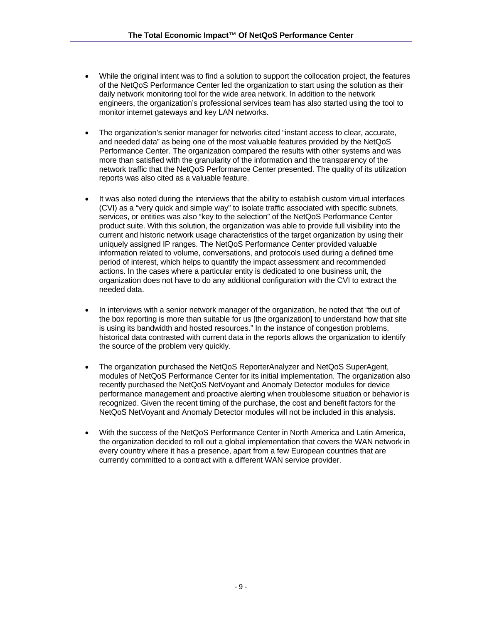- While the original intent was to find a solution to support the collocation project, the features of the NetQoS Performance Center led the organization to start using the solution as their daily network monitoring tool for the wide area network. In addition to the network engineers, the organization's professional services team has also started using the tool to monitor internet gateways and key LAN networks.
- The organization's senior manager for networks cited "instant access to clear, accurate, and needed data" as being one of the most valuable features provided by the NetQoS Performance Center. The organization compared the results with other systems and was more than satisfied with the granularity of the information and the transparency of the network traffic that the NetQoS Performance Center presented. The quality of its utilization reports was also cited as a valuable feature.
- It was also noted during the interviews that the ability to establish custom virtual interfaces (CVI) as a "very quick and simple way" to isolate traffic associated with specific subnets, services, or entities was also "key to the selection" of the NetQoS Performance Center product suite. With this solution, the organization was able to provide full visibility into the current and historic network usage characteristics of the target organization by using their uniquely assigned IP ranges. The NetQoS Performance Center provided valuable information related to volume, conversations, and protocols used during a defined time period of interest, which helps to quantify the impact assessment and recommended actions. In the cases where a particular entity is dedicated to one business unit, the organization does not have to do any additional configuration with the CVI to extract the needed data.
- In interviews with a senior network manager of the organization, he noted that "the out of the box reporting is more than suitable for us [the organization] to understand how that site is using its bandwidth and hosted resources." In the instance of congestion problems, historical data contrasted with current data in the reports allows the organization to identify the source of the problem very quickly.
- The organization purchased the NetQoS ReporterAnalyzer and NetQoS SuperAgent, modules of NetQoS Performance Center for its initial implementation. The organization also recently purchased the NetQoS NetVoyant and Anomaly Detector modules for device performance management and proactive alerting when troublesome situation or behavior is recognized. Given the recent timing of the purchase, the cost and benefit factors for the NetQoS NetVoyant and Anomaly Detector modules will not be included in this analysis.
- With the success of the NetQoS Performance Center in North America and Latin America, the organization decided to roll out a global implementation that covers the WAN network in every country where it has a presence, apart from a few European countries that are currently committed to a contract with a different WAN service provider.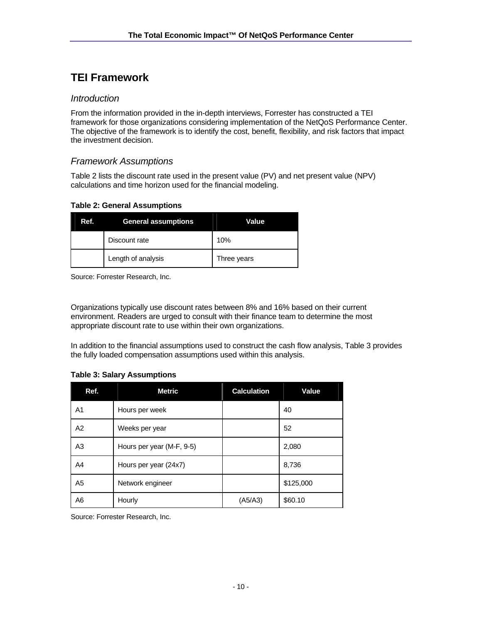# **TEI Framework**

#### *Introduction*

From the information provided in the in-depth interviews, Forrester has constructed a TEI framework for those organizations considering implementation of the NetQoS Performance Center. The objective of the framework is to identify the cost, benefit, flexibility, and risk factors that impact the investment decision.

### *Framework Assumptions*

Table 2 lists the discount rate used in the present value (PV) and net present value (NPV) calculations and time horizon used for the financial modeling.

#### **Table 2: General Assumptions**

| Ref. | <b>General assumptions</b> | Value       |
|------|----------------------------|-------------|
|      | Discount rate              | 10%         |
|      | Length of analysis         | Three years |

Source: Forrester Research, Inc.

Organizations typically use discount rates between 8% and 16% based on their current environment. Readers are urged to consult with their finance team to determine the most appropriate discount rate to use within their own organizations.

In addition to the financial assumptions used to construct the cash flow analysis, Table 3 provides the fully loaded compensation assumptions used within this analysis.

#### **Table 3: Salary Assumptions**

| Ref.           | <b>Metric</b>             | <b>Calculation</b> | <b>Value</b> |
|----------------|---------------------------|--------------------|--------------|
| A <sub>1</sub> | Hours per week            |                    | 40           |
| A2             | Weeks per year            |                    | 52           |
| A <sub>3</sub> | Hours per year (M-F, 9-5) |                    | 2,080        |
| A <sub>4</sub> | Hours per year (24x7)     |                    | 8,736        |
| A <sub>5</sub> | Network engineer          |                    | \$125,000    |
| A <sub>6</sub> | Hourly                    | (A5/A3)            | \$60.10      |

Source: Forrester Research, Inc.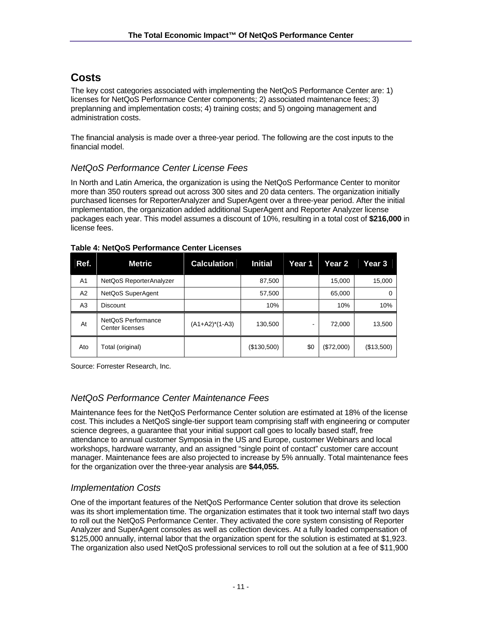## **Costs**

The key cost categories associated with implementing the NetQoS Performance Center are: 1) licenses for NetQoS Performance Center components; 2) associated maintenance fees; 3) preplanning and implementation costs; 4) training costs; and 5) ongoing management and administration costs.

The financial analysis is made over a three-year period. The following are the cost inputs to the financial model.

## *NetQoS Performance Center License Fees*

In North and Latin America, the organization is using the NetQoS Performance Center to monitor more than 350 routers spread out across 300 sites and 20 data centers. The organization initially purchased licenses for ReporterAnalyzer and SuperAgent over a three-year period. After the initial implementation, the organization added additional SuperAgent and Reporter Analyzer license packages each year. This model assumes a discount of 10%, resulting in a total cost of **\$216,000** in license fees.

| Ref.           | <b>Metric</b>                         | Calculation       | <b>Initial</b> | Year 1 | Year 2     | Year 3     |
|----------------|---------------------------------------|-------------------|----------------|--------|------------|------------|
| A <sub>1</sub> | NetQoS ReporterAnalyzer               |                   | 87,500         |        | 15,000     | 15,000     |
| A2             | NetQoS SuperAgent                     |                   | 57,500         |        | 65,000     | $\Omega$   |
| A <sub>3</sub> | <b>Discount</b>                       |                   | 10%            |        | 10%        | 10%        |
| At             | NetQoS Performance<br>Center licenses | $(A1+A2)^*(1-A3)$ | 130,500        |        | 72,000     | 13,500     |
| Ato            | Total (original)                      |                   | (\$130,500)    | \$0    | (\$72,000) | (\$13,500) |

#### **Table 4: NetQoS Performance Center Licenses**

Source: Forrester Research, Inc.

## *NetQoS Performance Center Maintenance Fees*

Maintenance fees for the NetQoS Performance Center solution are estimated at 18% of the license cost. This includes a NetQoS single-tier support team comprising staff with engineering or computer science degrees, a guarantee that your initial support call goes to locally based staff, free attendance to annual customer Symposia in the US and Europe, customer Webinars and local workshops, hardware warranty, and an assigned "single point of contact" customer care account manager. Maintenance fees are also projected to increase by 5% annually. Total maintenance fees for the organization over the three-year analysis are **\$44,055.** 

## *Implementation Costs*

One of the important features of the NetQoS Performance Center solution that drove its selection was its short implementation time. The organization estimates that it took two internal staff two days to roll out the NetQoS Performance Center. They activated the core system consisting of Reporter Analyzer and SuperAgent consoles as well as collection devices. At a fully loaded compensation of \$125,000 annually, internal labor that the organization spent for the solution is estimated at \$1,923. The organization also used NetQoS professional services to roll out the solution at a fee of \$11,900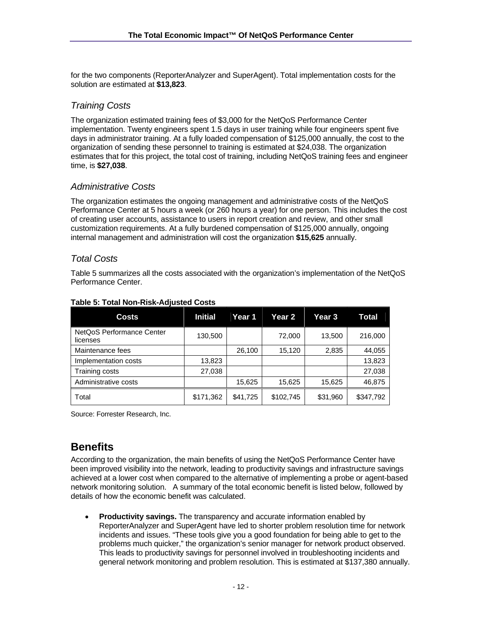for the two components (ReporterAnalyzer and SuperAgent). Total implementation costs for the solution are estimated at **\$13,823**.

### *Training Costs*

The organization estimated training fees of \$3,000 for the NetQoS Performance Center implementation. Twenty engineers spent 1.5 days in user training while four engineers spent five days in administrator training. At a fully loaded compensation of \$125,000 annually, the cost to the organization of sending these personnel to training is estimated at \$24,038. The organization estimates that for this project, the total cost of training, including NetQoS training fees and engineer time, is **\$27,038**.

### *Administrative Costs*

The organization estimates the ongoing management and administrative costs of the NetQoS Performance Center at 5 hours a week (or 260 hours a year) for one person. This includes the cost of creating user accounts, assistance to users in report creation and review, and other small customization requirements. At a fully burdened compensation of \$125,000 annually, ongoing internal management and administration will cost the organization **\$15,625** annually.

#### *Total Costs*

Table 5 summarizes all the costs associated with the organization's implementation of the NetQoS Performance Center.

| <b>Costs</b>                          | <b>Initial</b> | Year 1   | Year 2    | Year 3   | Total     |
|---------------------------------------|----------------|----------|-----------|----------|-----------|
| NetQoS Performance Center<br>licenses | 130,500        |          | 72,000    | 13,500   | 216,000   |
| Maintenance fees                      |                | 26,100   | 15,120    | 2,835    | 44,055    |
| Implementation costs                  | 13,823         |          |           |          | 13,823    |
| Training costs                        | 27,038         |          |           |          | 27,038    |
| Administrative costs                  |                | 15,625   | 15,625    | 15,625   | 46,875    |
| Total                                 | \$171,362      | \$41,725 | \$102,745 | \$31,960 | \$347,792 |

#### **Table 5: Total Non-Risk-Adjusted Costs**

Source: Forrester Research, Inc.

## **Benefits**

According to the organization, the main benefits of using the NetQoS Performance Center have been improved visibility into the network, leading to productivity savings and infrastructure savings achieved at a lower cost when compared to the alternative of implementing a probe or agent-based network monitoring solution. A summary of the total economic benefit is listed below, followed by details of how the economic benefit was calculated.

• **Productivity savings.** The transparency and accurate information enabled by ReporterAnalyzer and SuperAgent have led to shorter problem resolution time for network incidents and issues. "These tools give you a good foundation for being able to get to the problems much quicker," the organization's senior manager for network product observed. This leads to productivity savings for personnel involved in troubleshooting incidents and general network monitoring and problem resolution. This is estimated at \$137,380 annually.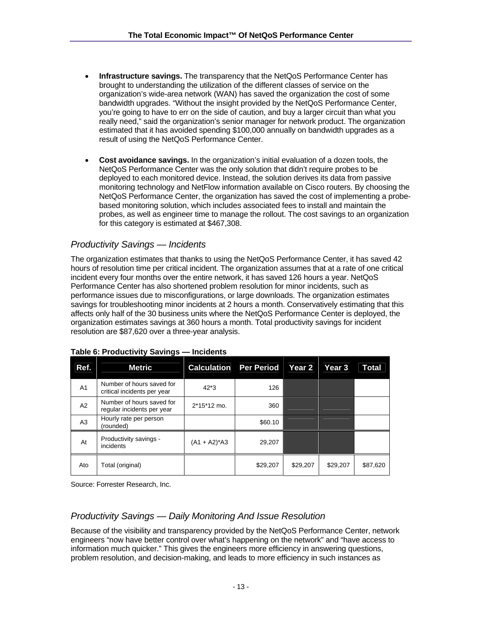- **Infrastructure savings.** The transparency that the NetQoS Performance Center has brought to understanding the utilization of the different classes of service on the organization's wide-area network (WAN) has saved the organization the cost of some bandwidth upgrades. "Without the insight provided by the NetQoS Performance Center, you're going to have to err on the side of caution, and buy a larger circuit than what you really need," said the organization's senior manager for network product. The organization estimated that it has avoided spending \$100,000 annually on bandwidth upgrades as a result of using the NetQoS Performance Center.
- **Cost avoidance savings.** In the organization's initial evaluation of a dozen tools, the NetQoS Performance Center was the only solution that didn't require probes to be deployed to each monitored device. Instead, the solution derives its data from passive monitoring technology and NetFlow information available on Cisco routers. By choosing the NetQoS Performance Center, the organization has saved the cost of implementing a probebased monitoring solution, which includes associated fees to install and maintain the probes, as well as engineer time to manage the rollout. The cost savings to an organization for this category is estimated at \$467,308.

## *Productivity Savings — Incidents*

The organization estimates that thanks to using the NetQoS Performance Center, it has saved 42 hours of resolution time per critical incident. The organization assumes that at a rate of one critical incident every four months over the entire network, it has saved 126 hours a year. NetQoS Performance Center has also shortened problem resolution for minor incidents, such as performance issues due to misconfigurations, or large downloads. The organization estimates savings for troubleshooting minor incidents at 2 hours a month. Conservatively estimating that this affects only half of the 30 business units where the NetQoS Performance Center is deployed, the organization estimates savings at 360 hours a month. Total productivity savings for incident resolution are \$87,620 over a three-year analysis.

| Ref.           | <b>Metric</b>                                            | <b>Calculation</b> Per Period |          | Year 2   | Year 3   | Total    |
|----------------|----------------------------------------------------------|-------------------------------|----------|----------|----------|----------|
| A <sub>1</sub> | Number of hours saved for<br>critical incidents per year | $42*3$                        | 126      |          |          |          |
| A2             | Number of hours saved for<br>regular incidents per year  | $2*15*12$ mo.                 | 360      |          |          |          |
| A <sub>3</sub> | Hourly rate per person<br>(rounded)                      |                               | \$60.10  |          |          |          |
| At             | Productivity savings -<br>incidents                      | $(A1 + A2)^* A3$              | 29,207   |          |          |          |
| Ato            | Total (original)                                         |                               | \$29,207 | \$29,207 | \$29,207 | \$87,620 |

#### **Table 6: Productivity Savings — Incidents**

Source: Forrester Research, Inc.

## *Productivity Savings — Daily Monitoring And Issue Resolution*

Because of the visibility and transparency provided by the NetQoS Performance Center, network engineers "now have better control over what's happening on the network" and "have access to information much quicker." This gives the engineers more efficiency in answering questions, problem resolution, and decision-making, and leads to more efficiency in such instances as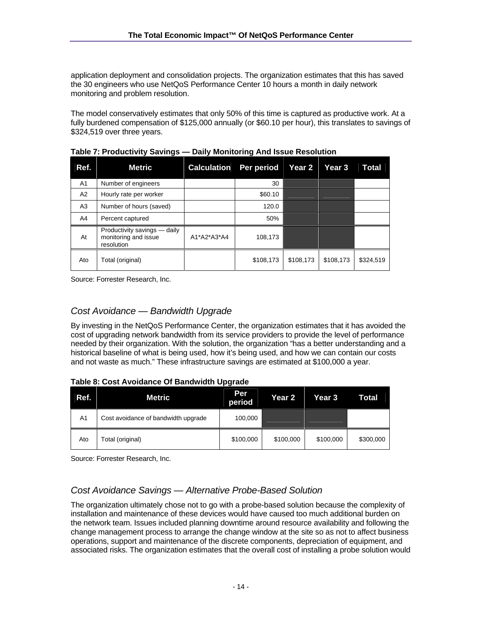application deployment and consolidation projects. The organization estimates that this has saved the 30 engineers who use NetQoS Performance Center 10 hours a month in daily network monitoring and problem resolution.

The model conservatively estimates that only 50% of this time is captured as productive work. At a fully burdened compensation of \$125,000 annually (or \$60.10 per hour), this translates to savings of \$324,519 over three years.

| Ref.           | <b>Metric</b>                                                      | <b>Calculation</b> | Per period | Year 2    | <b>Year 3</b> | Total     |
|----------------|--------------------------------------------------------------------|--------------------|------------|-----------|---------------|-----------|
| A <sub>1</sub> | Number of engineers                                                |                    | 30         |           |               |           |
| A2             | Hourly rate per worker                                             |                    | \$60.10    |           |               |           |
| A <sub>3</sub> | Number of hours (saved)                                            |                    | 120.0      |           |               |           |
| A4             | Percent captured                                                   |                    | 50%        |           |               |           |
| At             | Productivity savings - daily<br>monitoring and issue<br>resolution | A1*A2*A3*A4        | 108,173    |           |               |           |
| Ato            | Total (original)                                                   |                    | \$108,173  | \$108,173 | \$108,173     | \$324,519 |

**Table 7: Productivity Savings — Daily Monitoring And Issue Resolution** 

Source: Forrester Research, Inc.

### *Cost Avoidance — Bandwidth Upgrade*

By investing in the NetQoS Performance Center, the organization estimates that it has avoided the cost of upgrading network bandwidth from its service providers to provide the level of performance needed by their organization. With the solution, the organization "has a better understanding and a historical baseline of what is being used, how it's being used, and how we can contain our costs and not waste as much." These infrastructure savings are estimated at \$100,000 a year.

#### **Table 8: Cost Avoidance Of Bandwidth Upgrade**

| Ref.           | <b>Metric</b>                       | Per<br>period | Year 2    | <b>Year 3</b> | Total     |
|----------------|-------------------------------------|---------------|-----------|---------------|-----------|
| A <sub>1</sub> | Cost avoidance of bandwidth upgrade | 100,000       |           |               |           |
| Ato            | [otal (original)                    | \$100,000     | \$100,000 | \$100,000     | \$300,000 |

Source: Forrester Research, Inc.

## *Cost Avoidance Savings — Alternative Probe-Based Solution*

The organization ultimately chose not to go with a probe-based solution because the complexity of installation and maintenance of these devices would have caused too much additional burden on the network team. Issues included planning downtime around resource availability and following the change management process to arrange the change window at the site so as not to affect business operations, support and maintenance of the discrete components, depreciation of equipment, and associated risks. The organization estimates that the overall cost of installing a probe solution would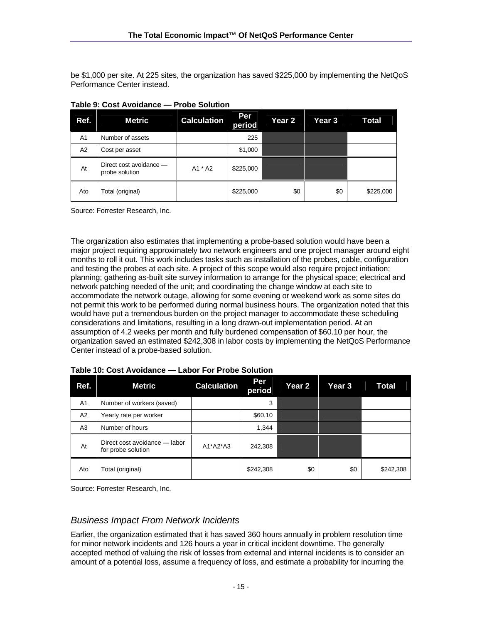be \$1,000 per site. At 225 sites, the organization has saved \$225,000 by implementing the NetQoS Performance Center instead.

| Ref.           | <b>Metric</b>                             | <b>Calculation</b> | Per<br>period | <b>Year 2</b> | Year 3 | Total     |
|----------------|-------------------------------------------|--------------------|---------------|---------------|--------|-----------|
| A <sub>1</sub> | Number of assets                          |                    | 225           |               |        |           |
| A2             | Cost per asset                            |                    | \$1,000       |               |        |           |
| At             | Direct cost avoidance -<br>probe solution | A1 * A2            | \$225,000     |               |        |           |
| Ato            | Total (original)                          |                    | \$225,000     | \$0           | \$0    | \$225,000 |

**Table 9: Cost Avoidance — Probe Solution** 

Source: Forrester Research, Inc.

The organization also estimates that implementing a probe-based solution would have been a major project requiring approximately two network engineers and one project manager around eight months to roll it out. This work includes tasks such as installation of the probes, cable, configuration and testing the probes at each site. A project of this scope would also require project initiation; planning; gathering as-built site survey information to arrange for the physical space; electrical and network patching needed of the unit; and coordinating the change window at each site to accommodate the network outage, allowing for some evening or weekend work as some sites do not permit this work to be performed during normal business hours. The organization noted that this would have put a tremendous burden on the project manager to accommodate these scheduling considerations and limitations, resulting in a long drawn-out implementation period. At an assumption of 4.2 weeks per month and fully burdened compensation of \$60.10 per hour, the organization saved an estimated \$242,308 in labor costs by implementing the NetQoS Performance Center instead of a probe-based solution.

| Ref.           | <b>Metric</b>                                       | <b>Calculation</b> | Per<br>period | Year 2 | Year <sub>3</sub> | Total     |
|----------------|-----------------------------------------------------|--------------------|---------------|--------|-------------------|-----------|
| A <sub>1</sub> | Number of workers (saved)                           |                    | 3             |        |                   |           |
| A2             | Yearly rate per worker                              |                    | \$60.10       |        |                   |           |
| A <sub>3</sub> | Number of hours                                     |                    | 1,344         |        |                   |           |
| At             | Direct cost avoidance - labor<br>for probe solution | $A1*A2*A3$         | 242,308       |        |                   |           |
| Ato            | Total (original)                                    |                    | \$242,308     | \$0    | \$0               | \$242,308 |

**Table 10: Cost Avoidance — Labor For Probe Solution** 

Source: Forrester Research, Inc.

#### *Business Impact From Network Incidents*

Earlier, the organization estimated that it has saved 360 hours annually in problem resolution time for minor network incidents and 126 hours a year in critical incident downtime. The generally accepted method of valuing the risk of losses from external and internal incidents is to consider an amount of a potential loss, assume a frequency of loss, and estimate a probability for incurring the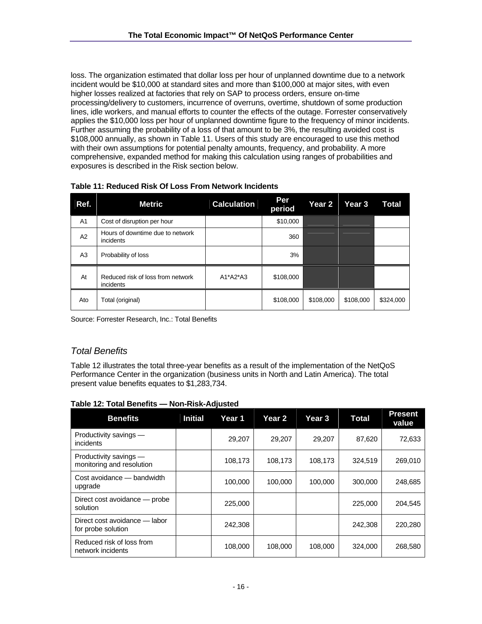loss. The organization estimated that dollar loss per hour of unplanned downtime due to a network incident would be \$10,000 at standard sites and more than \$100,000 at major sites, with even higher losses realized at factories that rely on SAP to process orders, ensure on-time processing/delivery to customers, incurrence of overruns, overtime, shutdown of some production lines, idle workers, and manual efforts to counter the effects of the outage. Forrester conservatively applies the \$10,000 loss per hour of unplanned downtime figure to the frequency of minor incidents. Further assuming the probability of a loss of that amount to be 3%, the resulting avoided cost is \$108,000 annually, as shown in Table 11. Users of this study are encouraged to use this method with their own assumptions for potential penalty amounts, frequency, and probability. A more comprehensive, expanded method for making this calculation using ranges of probabilities and exposures is described in the Risk section below.

| Ref.           | <b>Metric</b>                                  | <b>Calculation</b> | Per<br>period | Year 2    | Year 3    | Total     |
|----------------|------------------------------------------------|--------------------|---------------|-----------|-----------|-----------|
| A <sub>1</sub> | Cost of disruption per hour                    |                    | \$10,000      |           |           |           |
| A2             | Hours of downtime due to network<br>incidents  |                    | 360           |           |           |           |
| A <sub>3</sub> | Probability of loss                            |                    | 3%            |           |           |           |
| At             | Reduced risk of loss from network<br>incidents | $A1*A2*A3$         | \$108,000     |           |           |           |
| Ato            | Total (original)                               |                    | \$108,000     | \$108,000 | \$108,000 | \$324,000 |

Source: Forrester Research, Inc.: Total Benefits

## *Total Benefits*

Table 12 illustrates the total three-year benefits as a result of the implementation of the NetQoS Performance Center in the organization (business units in North and Latin America). The total present value benefits equates to \$1,283,734.

|  | Table 12: Total Benefits - Non-Risk-Adjusted |  |
|--|----------------------------------------------|--|
|--|----------------------------------------------|--|

| <b>Benefits</b>                                     | <b>Initial</b> | Year 1  | Year 2  | Year <sub>3</sub> | <b>Total</b> | <b>Present</b><br>value |
|-----------------------------------------------------|----------------|---------|---------|-------------------|--------------|-------------------------|
| Productivity savings -<br>incidents                 |                | 29,207  | 29,207  | 29,207            | 87,620       | 72,633                  |
| Productivity savings -<br>monitoring and resolution |                | 108,173 | 108,173 | 108,173           | 324,519      | 269,010                 |
| Cost avoidance — bandwidth<br>upgrade               |                | 100,000 | 100,000 | 100,000           | 300,000      | 248.685                 |
| Direct cost avoidance — probe<br>solution           |                | 225,000 |         |                   | 225,000      | 204,545                 |
| Direct cost avoidance — labor<br>for probe solution |                | 242,308 |         |                   | 242,308      | 220,280                 |
| Reduced risk of loss from<br>network incidents      |                | 108,000 | 108,000 | 108,000           | 324,000      | 268,580                 |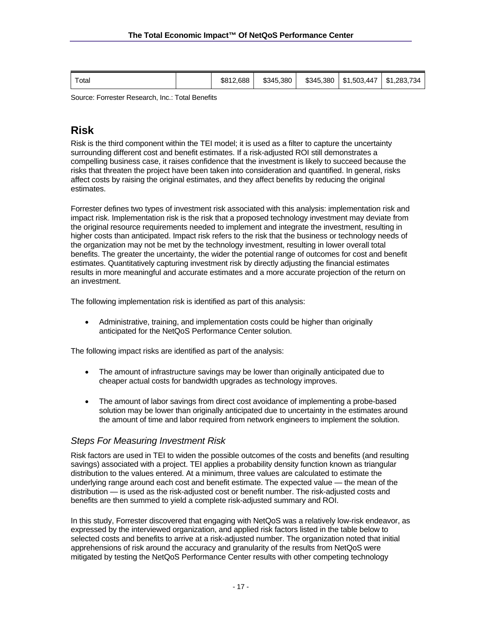| $\tau$ otal | \$812,688 | \$345,380 | \$345.380 | \$1,503,447 | .283,734<br>\$1 |
|-------------|-----------|-----------|-----------|-------------|-----------------|
|-------------|-----------|-----------|-----------|-------------|-----------------|

Source: Forrester Research, Inc.: Total Benefits

## **Risk**

Risk is the third component within the TEI model; it is used as a filter to capture the uncertainty surrounding different cost and benefit estimates. If a risk-adjusted ROI still demonstrates a compelling business case, it raises confidence that the investment is likely to succeed because the risks that threaten the project have been taken into consideration and quantified. In general, risks affect costs by raising the original estimates, and they affect benefits by reducing the original estimates.

Forrester defines two types of investment risk associated with this analysis: implementation risk and impact risk. Implementation risk is the risk that a proposed technology investment may deviate from the original resource requirements needed to implement and integrate the investment, resulting in higher costs than anticipated. Impact risk refers to the risk that the business or technology needs of the organization may not be met by the technology investment, resulting in lower overall total benefits. The greater the uncertainty, the wider the potential range of outcomes for cost and benefit estimates. Quantitatively capturing investment risk by directly adjusting the financial estimates results in more meaningful and accurate estimates and a more accurate projection of the return on an investment.

The following implementation risk is identified as part of this analysis:

• Administrative, training, and implementation costs could be higher than originally anticipated for the NetQoS Performance Center solution.

The following impact risks are identified as part of the analysis:

- The amount of infrastructure savings may be lower than originally anticipated due to cheaper actual costs for bandwidth upgrades as technology improves.
- The amount of labor savings from direct cost avoidance of implementing a probe-based solution may be lower than originally anticipated due to uncertainty in the estimates around the amount of time and labor required from network engineers to implement the solution.

#### *Steps For Measuring Investment Risk*

Risk factors are used in TEI to widen the possible outcomes of the costs and benefits (and resulting savings) associated with a project. TEI applies a probability density function known as triangular distribution to the values entered. At a minimum, three values are calculated to estimate the underlying range around each cost and benefit estimate. The expected value — the mean of the distribution — is used as the risk-adjusted cost or benefit number. The risk-adjusted costs and benefits are then summed to yield a complete risk-adjusted summary and ROI.

In this study, Forrester discovered that engaging with NetQoS was a relatively low-risk endeavor, as expressed by the interviewed organization, and applied risk factors listed in the table below to selected costs and benefits to arrive at a risk-adjusted number. The organization noted that initial apprehensions of risk around the accuracy and granularity of the results from NetQoS were mitigated by testing the NetQoS Performance Center results with other competing technology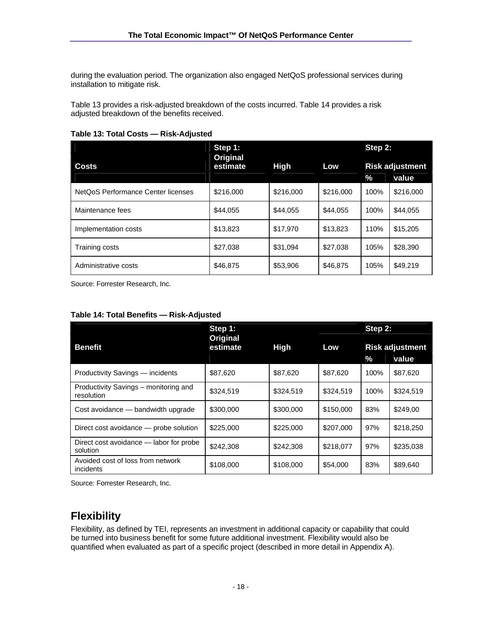during the evaluation period. The organization also engaged NetQoS professional services during installation to mitigate risk.

Table 13 provides a risk-adjusted breakdown of the costs incurred. Table 14 provides a risk adjusted breakdown of the benefits received.

|                                    | Step 1:                             |           | Step 2:   |      |                                 |  |
|------------------------------------|-------------------------------------|-----------|-----------|------|---------------------------------|--|
| <b>Costs</b>                       | Original<br><b>High</b><br>estimate |           | Low       | %    | <b>Risk adjustment</b><br>value |  |
| NetQoS Performance Center licenses | \$216,000                           | \$216,000 | \$216,000 | 100% | \$216,000                       |  |
| Maintenance fees                   | \$44,055                            | \$44,055  | \$44,055  | 100% | \$44,055                        |  |
| Implementation costs               | \$13,823                            | \$17,970  | \$13,823  | 110% | \$15,205                        |  |
| Training costs                     | \$27,038                            | \$31,094  | \$27,038  | 105% | \$28,390                        |  |
| Administrative costs               | \$46,875                            | \$53,906  | \$46,875  | 105% | \$49,219                        |  |

#### **Table 13: Total Costs — Risk-Adjusted**

Source: Forrester Research, Inc.

|  | Table 14: Total Benefits - Risk-Adjusted |
|--|------------------------------------------|
|--|------------------------------------------|

|                                                     | Step 1:              |             | Step 2:   |                                      |           |  |
|-----------------------------------------------------|----------------------|-------------|-----------|--------------------------------------|-----------|--|
| <b>Benefit</b>                                      | Original<br>estimate | <b>High</b> | Low       | <b>Risk adjustment</b><br>%<br>value |           |  |
| Productivity Savings - incidents                    | \$87.620             | \$87,620    | \$87.620  | 100%                                 | \$87,620  |  |
| Productivity Savings – monitoring and<br>resolution | \$324,519            | \$324,519   | \$324,519 | 100%                                 | \$324,519 |  |
| Cost avoidance — bandwidth upgrade                  | \$300,000            | \$300,000   | \$150,000 | 83%                                  | \$249,00  |  |
| Direct cost avoidance – probe solution              | \$225,000            | \$225,000   | \$207,000 | 97%                                  | \$218,250 |  |
| Direct cost avoidance – labor for probe<br>solution | \$242,308            | \$242,308   | \$218,077 | 97%                                  | \$235,038 |  |
| Avoided cost of loss from network<br>incidents      | \$108,000            | \$108,000   | \$54,000  | 83%                                  | \$89,640  |  |

Source: Forrester Research, Inc.

## **Flexibility**

Flexibility, as defined by TEI, represents an investment in additional capacity or capability that could be turned into business benefit for some future additional investment. Flexibility would also be quantified when evaluated as part of a specific project (described in more detail in Appendix A).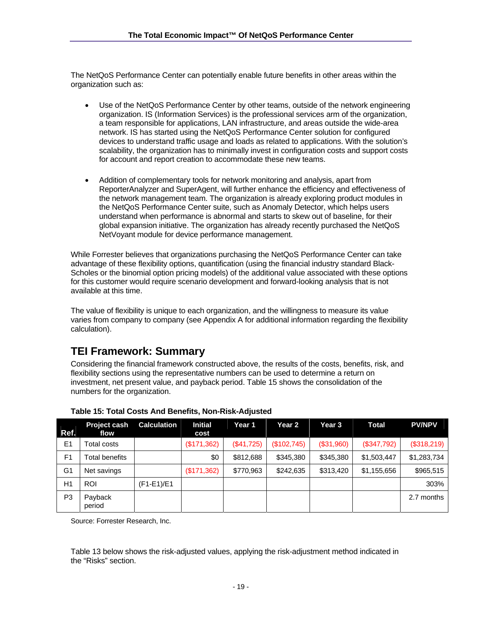The NetQoS Performance Center can potentially enable future benefits in other areas within the organization such as:

- Use of the NetQoS Performance Center by other teams, outside of the network engineering organization. IS (Information Services) is the professional services arm of the organization, a team responsible for applications, LAN infrastructure, and areas outside the wide-area network. IS has started using the NetQoS Performance Center solution for configured devices to understand traffic usage and loads as related to applications. With the solution's scalability, the organization has to minimally invest in configuration costs and support costs for account and report creation to accommodate these new teams.
- Addition of complementary tools for network monitoring and analysis, apart from ReporterAnalyzer and SuperAgent, will further enhance the efficiency and effectiveness of the network management team. The organization is already exploring product modules in the NetQoS Performance Center suite, such as Anomaly Detector, which helps users understand when performance is abnormal and starts to skew out of baseline, for their global expansion initiative. The organization has already recently purchased the NetQoS NetVoyant module for device performance management.

While Forrester believes that organizations purchasing the NetQoS Performance Center can take advantage of these flexibility options, quantification (using the financial industry standard Black-Scholes or the binomial option pricing models) of the additional value associated with these options for this customer would require scenario development and forward-looking analysis that is not available at this time.

The value of flexibility is unique to each organization, and the willingness to measure its value varies from company to company (see Appendix A for additional information regarding the flexibility calculation).

## **TEI Framework: Summary**

Considering the financial framework constructed above, the results of the costs, benefits, risk, and flexibility sections using the representative numbers can be used to determine a return on investment, net present value, and payback period. Table 15 shows the consolidation of the numbers for the organization.

| Ref.           | <b>Project cash</b><br>flow | <b>Calculation</b> | Initial<br>cost | Year 1     | Year 2      | Year 3     | <b>Total</b> | <b>PV/NPV</b> |
|----------------|-----------------------------|--------------------|-----------------|------------|-------------|------------|--------------|---------------|
| E <sub>1</sub> | Гotal costs                 |                    | (\$171,362)     | (\$41,725) | (\$102,745) | (\$31,960) | (\$347,792)  | (\$318,219)   |
| F <sub>1</sub> | Total benefits              |                    | \$0             | \$812,688  | \$345,380   | \$345,380  | \$1,503,447  | \$1,283,734   |
| G <sub>1</sub> | Net savings                 |                    | (\$171,362)     | \$770,963  | \$242,635   | \$313,420  | \$1,155,656  | \$965,515     |
| H1             | <b>ROI</b>                  | (F1-E1)/E1         |                 |            |             |            |              | 303%          |
| P3             | Payback<br>period           |                    |                 |            |             |            |              | 2.7 months    |

#### **Table 15: Total Costs And Benefits, Non-Risk-Adjusted**

Source: Forrester Research, Inc.

Table 13 below shows the risk-adjusted values, applying the risk-adjustment method indicated in the "Risks" section.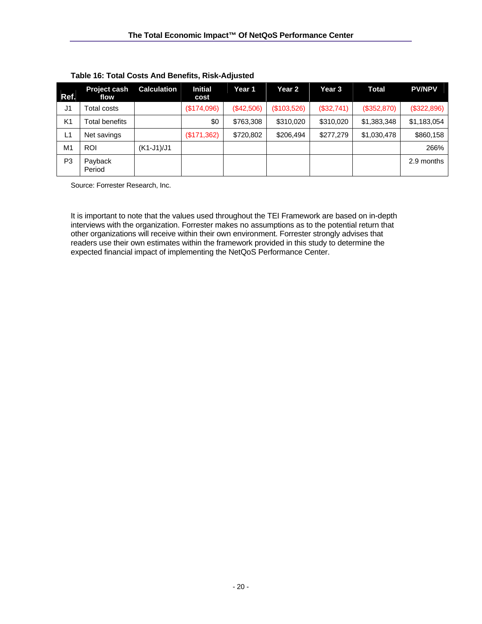| Ref.           | <b>Project cash</b><br>flow | <b>Calculation</b> | <b>Initial</b><br>cost | Year 1     | Year 2      | Year 3     | <b>Total</b> | <b>PV/NPV</b> |
|----------------|-----------------------------|--------------------|------------------------|------------|-------------|------------|--------------|---------------|
| J1             | <b>Гotal costs</b>          |                    | (\$174,096)            | (\$42,506) | (\$103,526) | (\$32,741) | (\$352,870)  | (\$322,896)   |
| K <sub>1</sub> | Total benefits              |                    | \$0                    | \$763,308  | \$310,020   | \$310,020  | \$1,383,348  | \$1,183,054   |
| L1             | Net savings                 |                    | (\$171,362)            | \$720,802  | \$206,494   | \$277,279  | \$1,030,478  | \$860,158     |
| M1             | <b>ROI</b>                  | $(K1-J1)/J1$       |                        |            |             |            |              | 266%          |
| P <sub>3</sub> | Payback<br>Period           |                    |                        |            |             |            |              | 2.9 months    |

#### **Table 16: Total Costs And Benefits, Risk-Adjusted**

Source: Forrester Research, Inc.

It is important to note that the values used throughout the TEI Framework are based on in-depth interviews with the organization. Forrester makes no assumptions as to the potential return that other organizations will receive within their own environment. Forrester strongly advises that readers use their own estimates within the framework provided in this study to determine the expected financial impact of implementing the NetQoS Performance Center.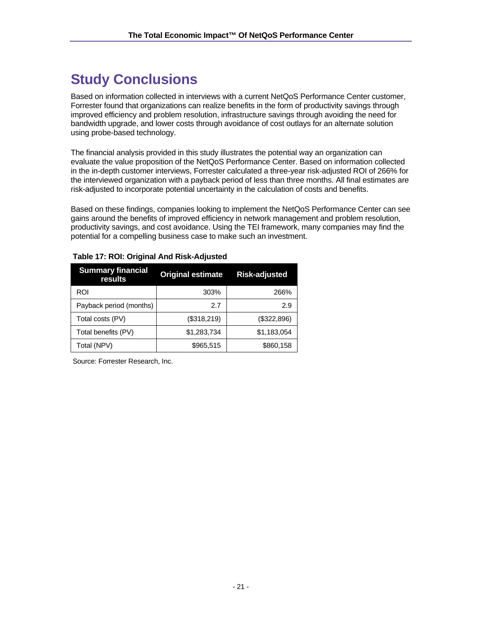# **Study Conclusions**

Based on information collected in interviews with a current NetQoS Performance Center customer, Forrester found that organizations can realize benefits in the form of productivity savings through improved efficiency and problem resolution, infrastructure savings through avoiding the need for bandwidth upgrade, and lower costs through avoidance of cost outlays for an alternate solution using probe-based technology.

The financial analysis provided in this study illustrates the potential way an organization can evaluate the value proposition of the NetQoS Performance Center. Based on information collected in the in-depth customer interviews, Forrester calculated a three-year risk-adjusted ROI of 266% for the interviewed organization with a payback period of less than three months. All final estimates are risk-adjusted to incorporate potential uncertainty in the calculation of costs and benefits.

Based on these findings, companies looking to implement the NetQoS Performance Center can see gains around the benefits of improved efficiency in network management and problem resolution, productivity savings, and cost avoidance. Using the TEI framework, many companies may find the potential for a compelling business case to make such an investment.

| <b>Summary financial</b><br>results | <b>Original estimate</b> | <b>Risk-adjusted</b> |
|-------------------------------------|--------------------------|----------------------|
| ROI                                 | 303%                     | 266%                 |
| Payback period (months)             | 2.7                      | 2.9                  |
| Total costs (PV)                    | (\$318,219)              | (\$322,896)          |
| Total benefits (PV)                 | \$1,283,734              | \$1,183,054          |
| Total (NPV)                         | \$965,515                | \$860,158            |

#### **Table 17: ROI: Original And Risk-Adjusted**

Source: Forrester Research, Inc.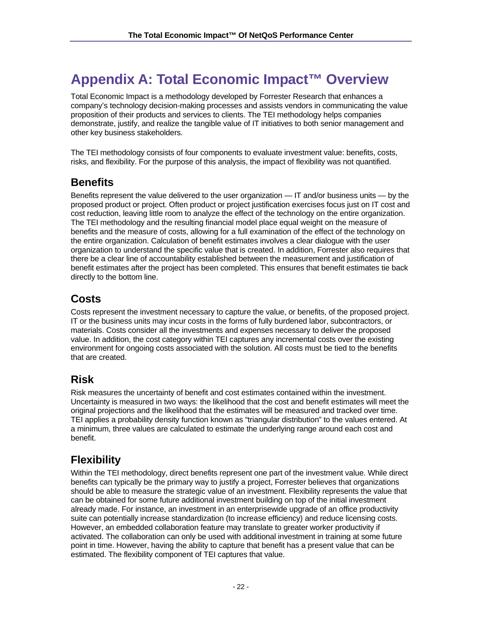# **Appendix A: Total Economic Impact™ Overview**

Total Economic Impact is a methodology developed by Forrester Research that enhances a company's technology decision-making processes and assists vendors in communicating the value proposition of their products and services to clients. The TEI methodology helps companies demonstrate, justify, and realize the tangible value of IT initiatives to both senior management and other key business stakeholders.

The TEI methodology consists of four components to evaluate investment value: benefits, costs, risks, and flexibility. For the purpose of this analysis, the impact of flexibility was not quantified.

## **Benefits**

Benefits represent the value delivered to the user organization — IT and/or business units — by the proposed product or project. Often product or project justification exercises focus just on IT cost and cost reduction, leaving little room to analyze the effect of the technology on the entire organization. The TEI methodology and the resulting financial model place equal weight on the measure of benefits and the measure of costs, allowing for a full examination of the effect of the technology on the entire organization. Calculation of benefit estimates involves a clear dialogue with the user organization to understand the specific value that is created. In addition, Forrester also requires that there be a clear line of accountability established between the measurement and justification of benefit estimates after the project has been completed. This ensures that benefit estimates tie back directly to the bottom line.

## **Costs**

Costs represent the investment necessary to capture the value, or benefits, of the proposed project. IT or the business units may incur costs in the forms of fully burdened labor, subcontractors, or materials. Costs consider all the investments and expenses necessary to deliver the proposed value. In addition, the cost category within TEI captures any incremental costs over the existing environment for ongoing costs associated with the solution. All costs must be tied to the benefits that are created.

## **Risk**

Risk measures the uncertainty of benefit and cost estimates contained within the investment. Uncertainty is measured in two ways: the likelihood that the cost and benefit estimates will meet the original projections and the likelihood that the estimates will be measured and tracked over time. TEI applies a probability density function known as "triangular distribution" to the values entered. At a minimum, three values are calculated to estimate the underlying range around each cost and benefit.

# **Flexibility**

Within the TEI methodology, direct benefits represent one part of the investment value. While direct benefits can typically be the primary way to justify a project, Forrester believes that organizations should be able to measure the strategic value of an investment. Flexibility represents the value that can be obtained for some future additional investment building on top of the initial investment already made. For instance, an investment in an enterprisewide upgrade of an office productivity suite can potentially increase standardization (to increase efficiency) and reduce licensing costs. However, an embedded collaboration feature may translate to greater worker productivity if activated. The collaboration can only be used with additional investment in training at some future point in time. However, having the ability to capture that benefit has a present value that can be estimated. The flexibility component of TEI captures that value.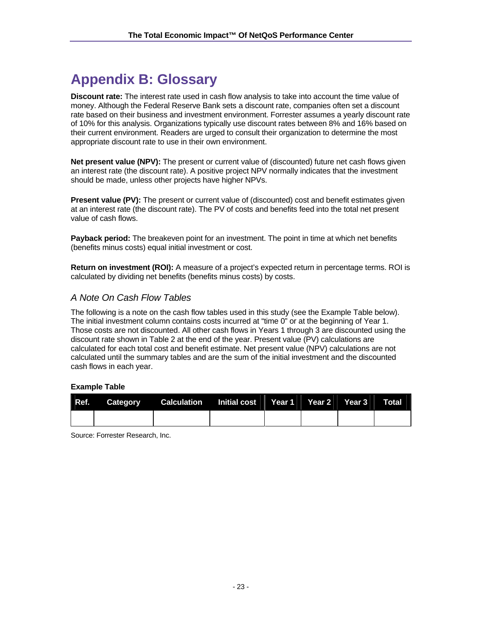# **Appendix B: Glossary**

**Discount rate:** The interest rate used in cash flow analysis to take into account the time value of money. Although the Federal Reserve Bank sets a discount rate, companies often set a discount rate based on their business and investment environment. Forrester assumes a yearly discount rate of 10% for this analysis. Organizations typically use discount rates between 8% and 16% based on their current environment. Readers are urged to consult their organization to determine the most appropriate discount rate to use in their own environment.

**Net present value (NPV):** The present or current value of (discounted) future net cash flows given an interest rate (the discount rate). A positive project NPV normally indicates that the investment should be made, unless other projects have higher NPVs.

**Present value (PV):** The present or current value of (discounted) cost and benefit estimates given at an interest rate (the discount rate). The PV of costs and benefits feed into the total net present value of cash flows.

**Payback period:** The breakeven point for an investment. The point in time at which net benefits (benefits minus costs) equal initial investment or cost.

**Return on investment (ROI):** A measure of a project's expected return in percentage terms. ROI is calculated by dividing net benefits (benefits minus costs) by costs.

## *A Note On Cash Flow Tables*

The following is a note on the cash flow tables used in this study (see the Example Table below). The initial investment column contains costs incurred at "time 0" or at the beginning of Year 1. Those costs are not discounted. All other cash flows in Years 1 through 3 are discounted using the discount rate shown in Table 2 at the end of the year. Present value (PV) calculations are calculated for each total cost and benefit estimate. Net present value (NPV) calculations are not calculated until the summary tables and are the sum of the initial investment and the discounted cash flows in each year.

#### **Example Table**

| Ref. Category Calculation Initial cost Year 1 Year 2 Year 3 Total |  |  |  |
|-------------------------------------------------------------------|--|--|--|
|                                                                   |  |  |  |

Source: Forrester Research, Inc.